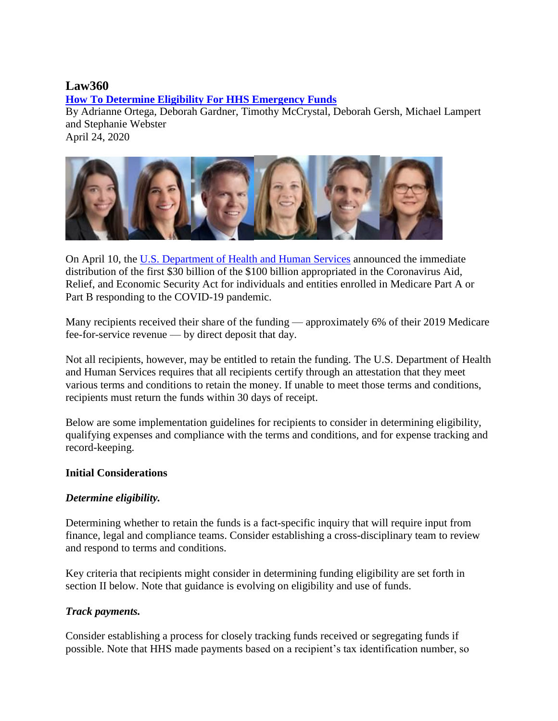# **Law360**

**[How To Determine Eligibility For HHS Emergency Funds](https://www.law360.com/articles/1266420/how-to-determine-eligibility-for-hhs-emergency-funds)**

By Adrianne Ortega, Deborah Gardner, Timothy McCrystal, Deborah Gersh, Michael Lampert and Stephanie Webster April 24, 2020

On April 10, the [U.S. Department of Health and Human Services](https://www.law360.com/agencies/u-s-department-of-health-and-human-services) announced the immediate distribution of the first \$30 billion of the \$100 billion appropriated in the Coronavirus Aid, Relief, and Economic Security Act for individuals and entities enrolled in Medicare Part A or Part B responding to the COVID-19 pandemic.

Many recipients received their share of the funding — approximately 6% of their 2019 Medicare fee-for-service revenue — by direct deposit that day.

Not all recipients, however, may be entitled to retain the funding. The U.S. Department of Health and Human Services requires that all recipients certify through an attestation that they meet various terms and conditions to retain the money. If unable to meet those terms and conditions, recipients must return the funds within 30 days of receipt.

Below are some implementation guidelines for recipients to consider in determining eligibility, qualifying expenses and compliance with the terms and conditions, and for expense tracking and record-keeping.

### **Initial Considerations**

### *Determine eligibility.*

Determining whether to retain the funds is a fact-specific inquiry that will require input from finance, legal and compliance teams. Consider establishing a cross-disciplinary team to review and respond to terms and conditions.

Key criteria that recipients might consider in determining funding eligibility are set forth in section II below. Note that guidance is evolving on eligibility and use of funds.

#### *Track payments.*

Consider establishing a process for closely tracking funds received or segregating funds if possible. Note that HHS made payments based on a recipient's tax identification number, so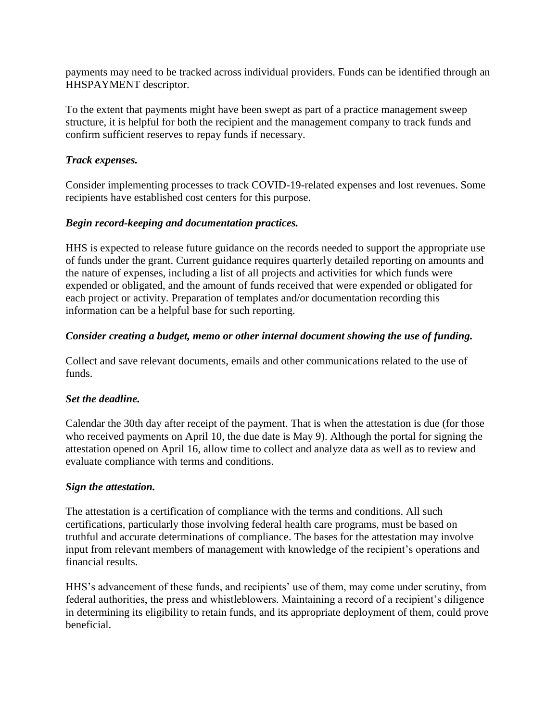payments may need to be tracked across individual providers. Funds can be identified through an HHSPAYMENT descriptor.

To the extent that payments might have been swept as part of a practice management sweep structure, it is helpful for both the recipient and the management company to track funds and confirm sufficient reserves to repay funds if necessary.

### *Track expenses.*

Consider implementing processes to track COVID-19-related expenses and lost revenues. Some recipients have established cost centers for this purpose.

### *Begin record-keeping and documentation practices.*

HHS is expected to release future guidance on the records needed to support the appropriate use of funds under the grant. Current guidance requires quarterly detailed reporting on amounts and the nature of expenses, including a list of all projects and activities for which funds were expended or obligated, and the amount of funds received that were expended or obligated for each project or activity. Preparation of templates and/or documentation recording this information can be a helpful base for such reporting.

### *Consider creating a budget, memo or other internal document showing the use of funding.*

Collect and save relevant documents, emails and other communications related to the use of funds.

#### *Set the deadline.*

Calendar the 30th day after receipt of the payment. That is when the attestation is due (for those who received payments on April 10, the due date is May 9). Although the portal for signing the attestation opened on April 16, allow time to collect and analyze data as well as to review and evaluate compliance with terms and conditions.

#### *Sign the attestation.*

The attestation is a certification of compliance with the terms and conditions. All such certifications, particularly those involving federal health care programs, must be based on truthful and accurate determinations of compliance. The bases for the attestation may involve input from relevant members of management with knowledge of the recipient's operations and financial results.

HHS's advancement of these funds, and recipients' use of them, may come under scrutiny, from federal authorities, the press and whistleblowers. Maintaining a record of a recipient's diligence in determining its eligibility to retain funds, and its appropriate deployment of them, could prove beneficial.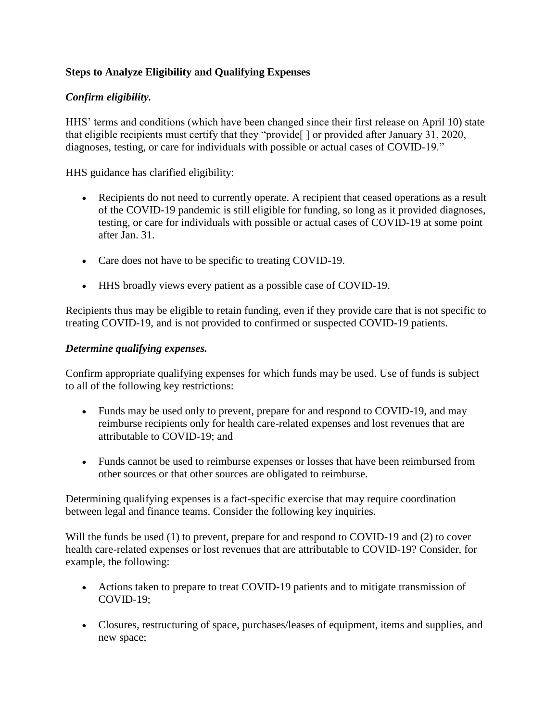## **Steps to Analyze Eligibility and Qualifying Expenses**

### *Confirm eligibility.*

HHS' terms and conditions (which have been changed since their first release on April 10) state that eligible recipients must certify that they "provide[ ] or provided after January 31, 2020, diagnoses, testing, or care for individuals with possible or actual cases of COVID-19."

HHS guidance has clarified eligibility:

- Recipients do not need to currently operate. A recipient that ceased operations as a result of the COVID-19 pandemic is still eligible for funding, so long as it provided diagnoses, testing, or care for individuals with possible or actual cases of COVID-19 at some point after Jan. 31.
- Care does not have to be specific to treating COVID-19.
- HHS broadly views every patient as a possible case of COVID-19.

Recipients thus may be eligible to retain funding, even if they provide care that is not specific to treating COVID-19, and is not provided to confirmed or suspected COVID-19 patients.

### *Determine qualifying expenses.*

Confirm appropriate qualifying expenses for which funds may be used. Use of funds is subject to all of the following key restrictions:

- Funds may be used only to prevent, prepare for and respond to COVID-19, and may reimburse recipients only for health care-related expenses and lost revenues that are attributable to COVID-19; and
- Funds cannot be used to reimburse expenses or losses that have been reimbursed from other sources or that other sources are obligated to reimburse.

Determining qualifying expenses is a fact-specific exercise that may require coordination between legal and finance teams. Consider the following key inquiries.

Will the funds be used (1) to prevent, prepare for and respond to COVID-19 and (2) to cover health care-related expenses or lost revenues that are attributable to COVID-19? Consider, for example, the following:

- Actions taken to prepare to treat COVID-19 patients and to mitigate transmission of COVID-19;
- Closures, restructuring of space, purchases/leases of equipment, items and supplies, and new space;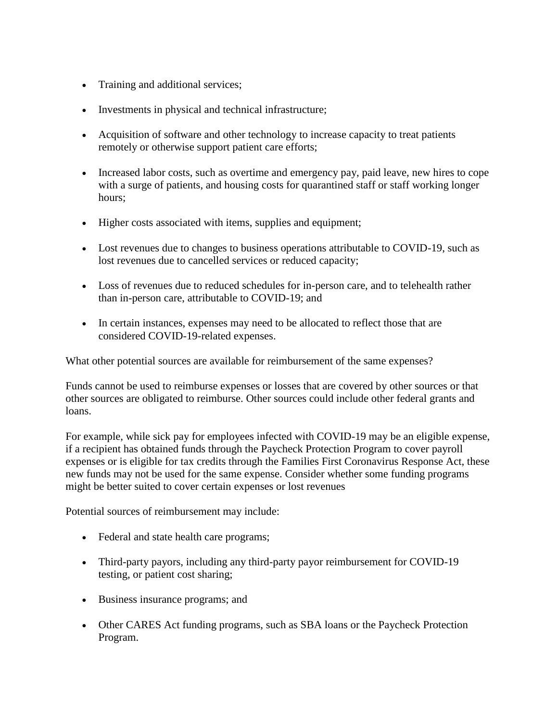- Training and additional services;
- Investments in physical and technical infrastructure;
- Acquisition of software and other technology to increase capacity to treat patients remotely or otherwise support patient care efforts;
- Increased labor costs, such as overtime and emergency pay, paid leave, new hires to cope with a surge of patients, and housing costs for quarantined staff or staff working longer hours;
- Higher costs associated with items, supplies and equipment;
- Lost revenues due to changes to business operations attributable to COVID-19, such as lost revenues due to cancelled services or reduced capacity;
- Loss of revenues due to reduced schedules for in-person care, and to telehealth rather than in-person care, attributable to COVID-19; and
- In certain instances, expenses may need to be allocated to reflect those that are considered COVID-19-related expenses.

What other potential sources are available for reimbursement of the same expenses?

Funds cannot be used to reimburse expenses or losses that are covered by other sources or that other sources are obligated to reimburse. Other sources could include other federal grants and loans.

For example, while sick pay for employees infected with COVID-19 may be an eligible expense, if a recipient has obtained funds through the Paycheck Protection Program to cover payroll expenses or is eligible for tax credits through the Families First Coronavirus Response Act, these new funds may not be used for the same expense. Consider whether some funding programs might be better suited to cover certain expenses or lost revenues

Potential sources of reimbursement may include:

- Federal and state health care programs;
- Third-party payors, including any third-party payor reimbursement for COVID-19 testing, or patient cost sharing;
- Business insurance programs; and
- Other CARES Act funding programs, such as SBA loans or the Paycheck Protection Program.